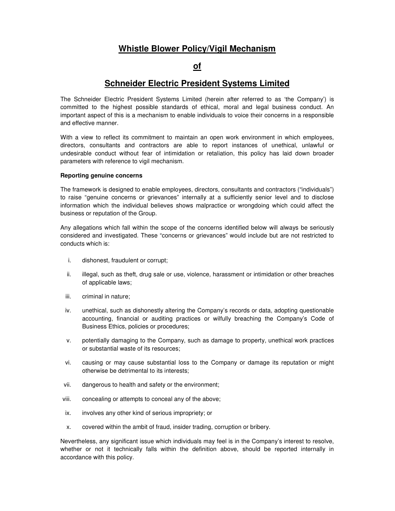# **Whistle Blower Policy/Vigil Mechanism**

## **of**

## **Schneider Electric President Systems Limited**

The Schneider Electric President Systems Limited (herein after referred to as 'the Company') is committed to the highest possible standards of ethical, moral and legal business conduct. An important aspect of this is a mechanism to enable individuals to voice their concerns in a responsible and effective manner.

With a view to reflect its commitment to maintain an open work environment in which employees, directors, consultants and contractors are able to report instances of unethical, unlawful or undesirable conduct without fear of intimidation or retaliation, this policy has laid down broader parameters with reference to vigil mechanism.

## **Reporting genuine concerns**

The framework is designed to enable employees, directors, consultants and contractors ("individuals") to raise "genuine concerns or grievances" internally at a sufficiently senior level and to disclose information which the individual believes shows malpractice or wrongdoing which could affect the business or reputation of the Group.

Any allegations which fall within the scope of the concerns identified below will always be seriously considered and investigated. These "concerns or grievances" would include but are not restricted to conducts which is:

- i. dishonest, fraudulent or corrupt;
- ii. illegal, such as theft, drug sale or use, violence, harassment or intimidation or other breaches of applicable laws;
- iii. criminal in nature;
- iv. unethical, such as dishonestly altering the Company's records or data, adopting questionable accounting, financial or auditing practices or wilfully breaching the Company's Code of Business Ethics, policies or procedures;
- v. potentially damaging to the Company, such as damage to property, unethical work practices or substantial waste of its resources;
- vi. causing or may cause substantial loss to the Company or damage its reputation or might otherwise be detrimental to its interests;
- vii. dangerous to health and safety or the environment;
- viii. concealing or attempts to conceal any of the above;
- ix. involves any other kind of serious impropriety; or
- x. covered within the ambit of fraud, insider trading, corruption or bribery.

Nevertheless, any significant issue which individuals may feel is in the Company's interest to resolve, whether or not it technically falls within the definition above, should be reported internally in accordance with this policy.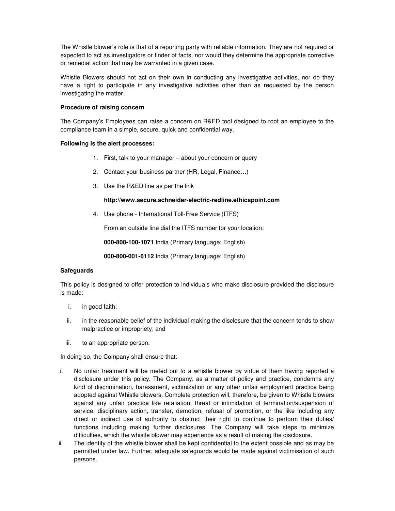The Whistle blower's role is that of a reporting party with reliable information. They are not required or expected to act as investigators or finder of facts, nor would they determine the appropriate corrective or remedial action that may be warranted in a given case.

Whistle Blowers should not act on their own in conducting any investigative activities, nor do they have a right to participate in any investigative activities other than as requested by the person investigating the matter.

## **Procedure of raising concern**

The Company's Employees can raise a concern on R&ED tool designed to root an employee to the compliance team in a simple, secure, quick and confidential way.

## **Following is the alert processes:**

- 1. First, talk to your manager about your concern or query
- 2. Contact your business partner (HR, Legal, Finance…)
- 3. Use the R&ED line as per the link

## **http://www.secure.schneider-electric-redline.ethicspoint.com**

4. Use phone - International Toll-Free Service (ITFS)

From an outside line dial the ITFS number for your location:

**000-800-100-1071** India (Primary language: English)

**000-800-001-6112** India (Primary language: English)

## **Safeguards**

This policy is designed to offer protection to individuals who make disclosure provided the disclosure is made:

- i. in good faith;
- ii. in the reasonable belief of the individual making the disclosure that the concern tends to show malpractice or impropriety; and
- iii. to an appropriate person.

In doing so, the Company shall ensure that:-

- i. No unfair treatment will be meted out to a whistle blower by virtue of them having reported a disclosure under this policy. The Company, as a matter of policy and practice, condemns any kind of discrimination, harassment, victimization or any other unfair employment practice being adopted against Whistle blowers. Complete protection will, therefore, be given to Whistle blowers against any unfair practice like retaliation, threat or intimidation of termination/suspension of service, disciplinary action, transfer, demotion, refusal of promotion, or the like including any direct or indirect use of authority to obstruct their right to continue to perform their duties/ functions including making further disclosures. The Company will take steps to minimize difficulties, which the whistle blower may experience as a result of making the disclosure.
- ii. The identity of the whistle blower shall be kept confidential to the extent possible and as may be permitted under law. Further, adequate safeguards would be made against victimisation of such persons.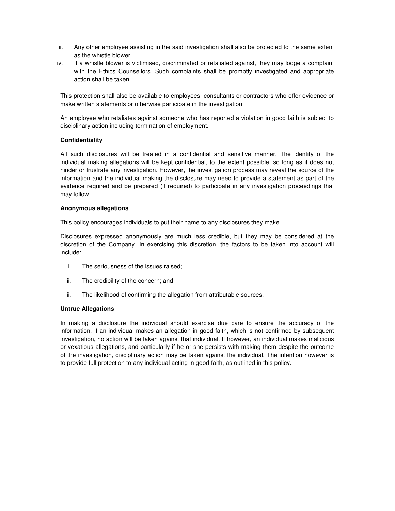- iii. Any other employee assisting in the said investigation shall also be protected to the same extent as the whistle blower.
- iv. If a whistle blower is victimised, discriminated or retaliated against, they may lodge a complaint with the Ethics Counsellors. Such complaints shall be promptly investigated and appropriate action shall be taken.

This protection shall also be available to employees, consultants or contractors who offer evidence or make written statements or otherwise participate in the investigation.

An employee who retaliates against someone who has reported a violation in good faith is subject to disciplinary action including termination of employment.

## **Confidentiality**

All such disclosures will be treated in a confidential and sensitive manner. The identity of the individual making allegations will be kept confidential, to the extent possible, so long as it does not hinder or frustrate any investigation. However, the investigation process may reveal the source of the information and the individual making the disclosure may need to provide a statement as part of the evidence required and be prepared (if required) to participate in any investigation proceedings that may follow.

## **Anonymous allegations**

This policy encourages individuals to put their name to any disclosures they make.

Disclosures expressed anonymously are much less credible, but they may be considered at the discretion of the Company. In exercising this discretion, the factors to be taken into account will include:

- i. The seriousness of the issues raised;
- ii. The credibility of the concern; and
- iii. The likelihood of confirming the allegation from attributable sources.

## **Untrue Allegations**

In making a disclosure the individual should exercise due care to ensure the accuracy of the information. If an individual makes an allegation in good faith, which is not confirmed by subsequent investigation, no action will be taken against that individual. If however, an individual makes malicious or vexatious allegations, and particularly if he or she persists with making them despite the outcome of the investigation, disciplinary action may be taken against the individual. The intention however is to provide full protection to any individual acting in good faith, as outlined in this policy.